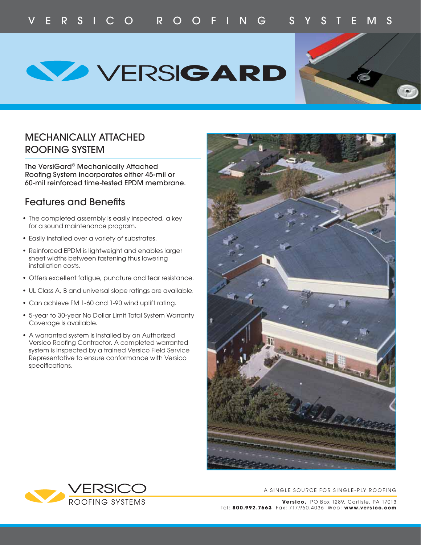**WERSIGARD** 



# MECHANICALLY ATTACHED ROOFING SYSTEM

The VersiGard® Mechanically Attached Roofing System incorporates either 45-mil or 60-mil reinforced time-tested EPDM membrane.

# Features and Benefits

- The completed assembly is easily inspected, a key for a sound maintenance program.
- Easily installed over a variety of substrates.
- Reinforced EPDM is lightweight and enables larger sheet widths between fastening thus lowering installation costs.
- Offers excellent fatigue, puncture and tear resistance.
- UL Class A, B and universal slope ratings are available.
- Can achieve FM 1-60 and 1-90 wind uplift rating.
- 5-year to 30-year No Dollar Limit Total System Warranty Coverage is available.
- A warranted system is installed by an Authorized Versico Roofing Contractor. A completed warranted system is inspected by a trained Versico Field Service Representative to ensure conformance with Versico specifications.





#### A SINGLE SOURCE FOR SINGLE-PLY ROOFING

**Versico,** PO Box 1289, Carlisle, PA 17013 Tel: **800.992.7663** Fax: 717.960.4 036 Web: **www.versico.com**